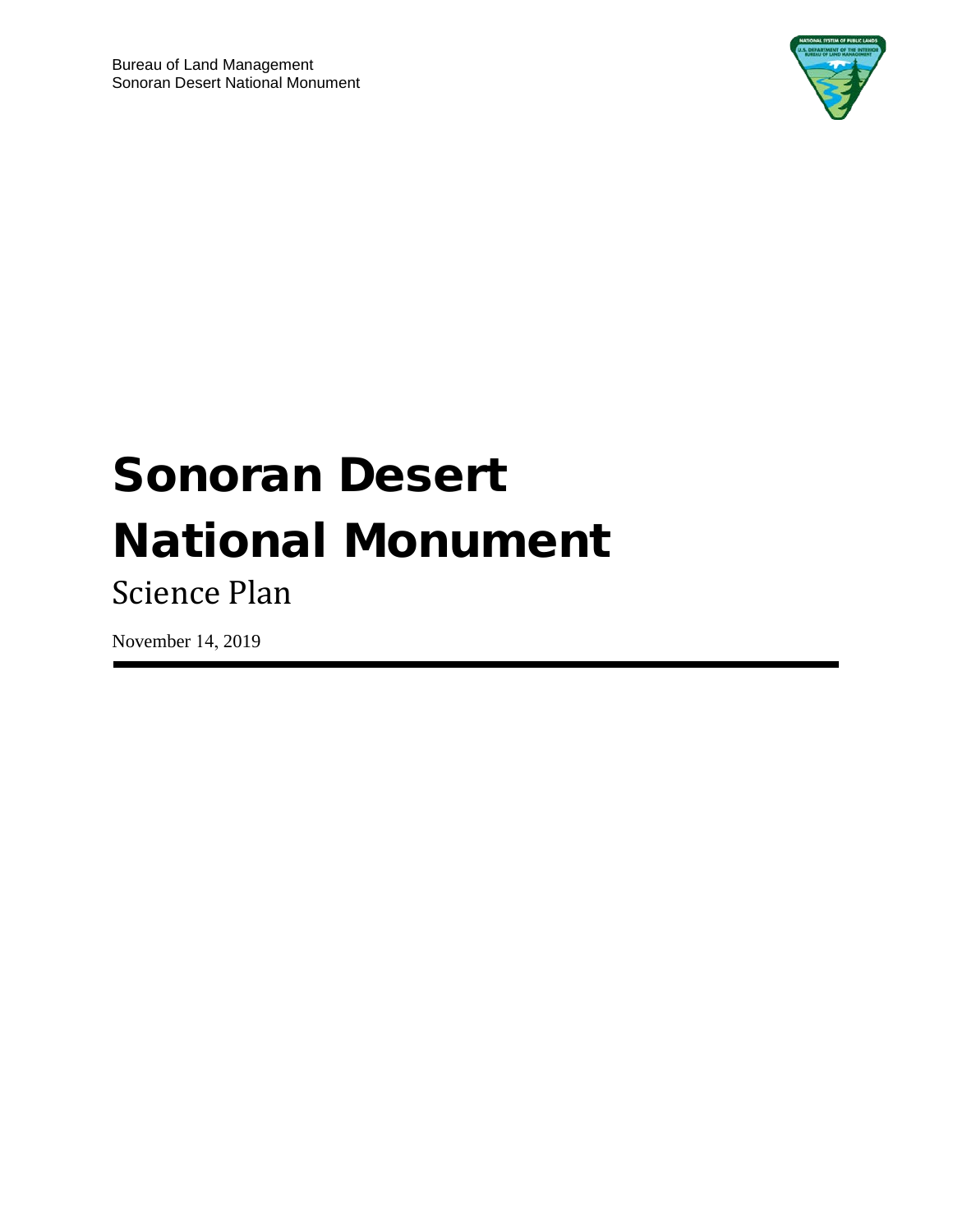

# Sonoran Desert National Monument

Science Plan

November 14, 2019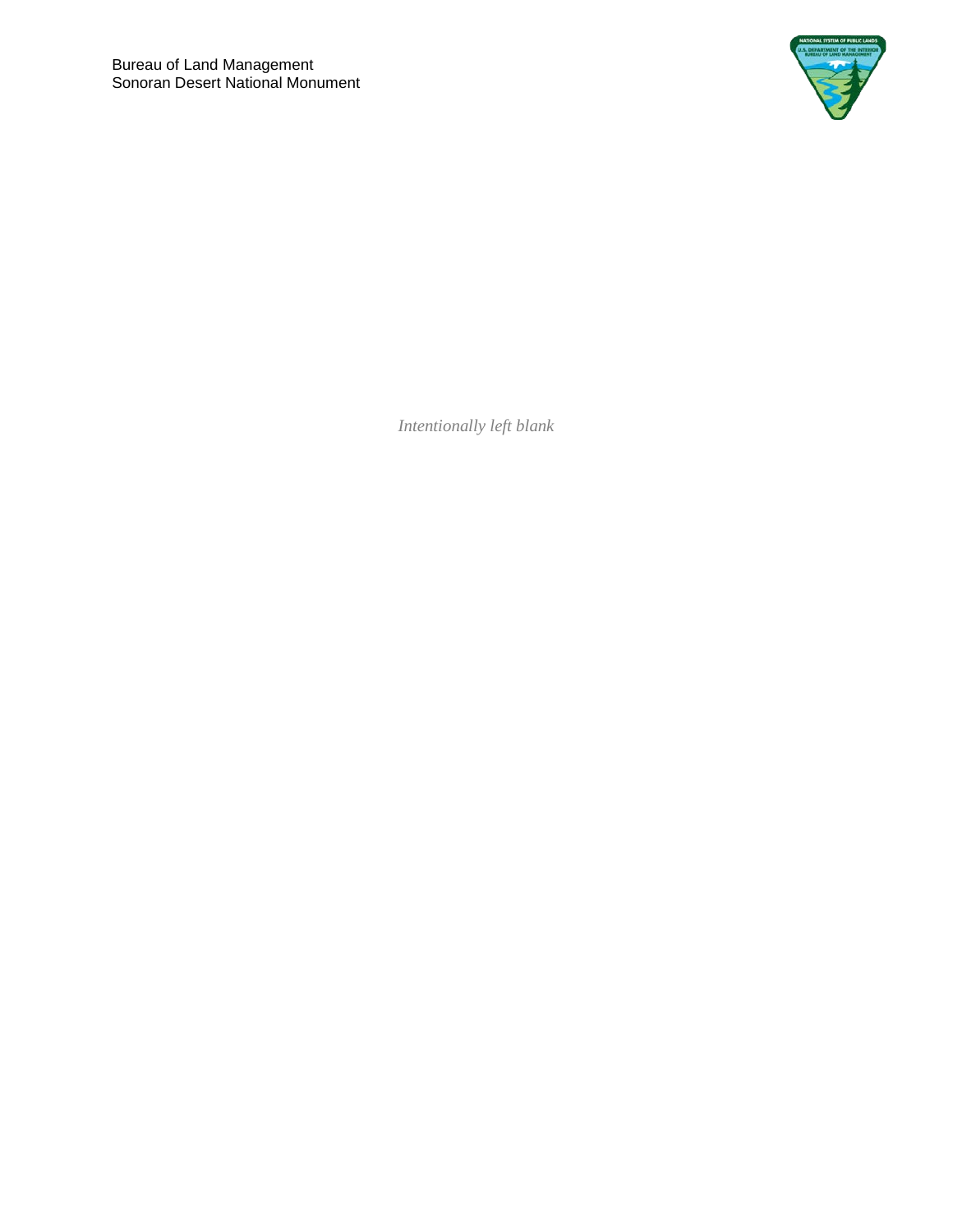

*Intentionally left blank*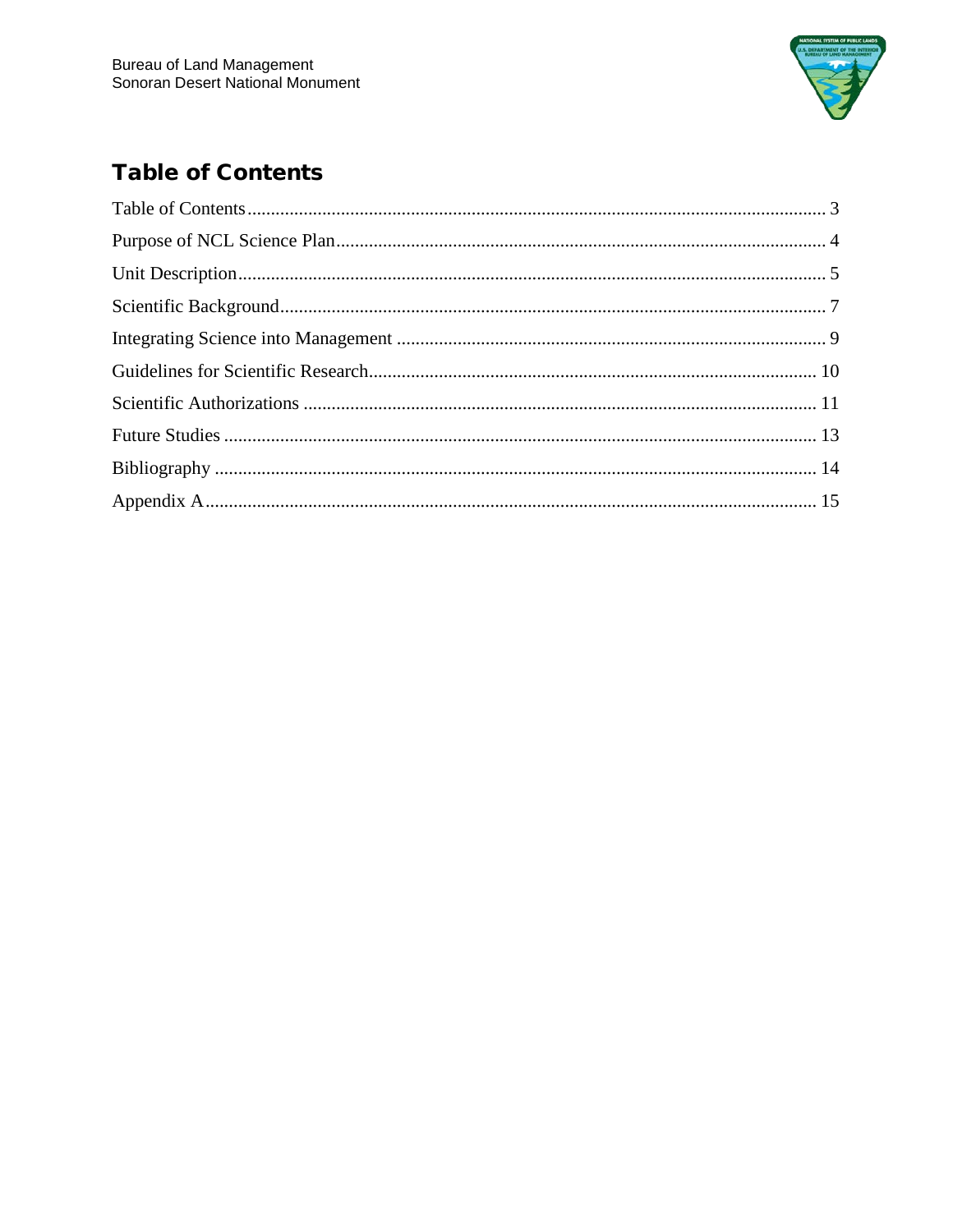

# <span id="page-2-0"></span>**Table of Contents**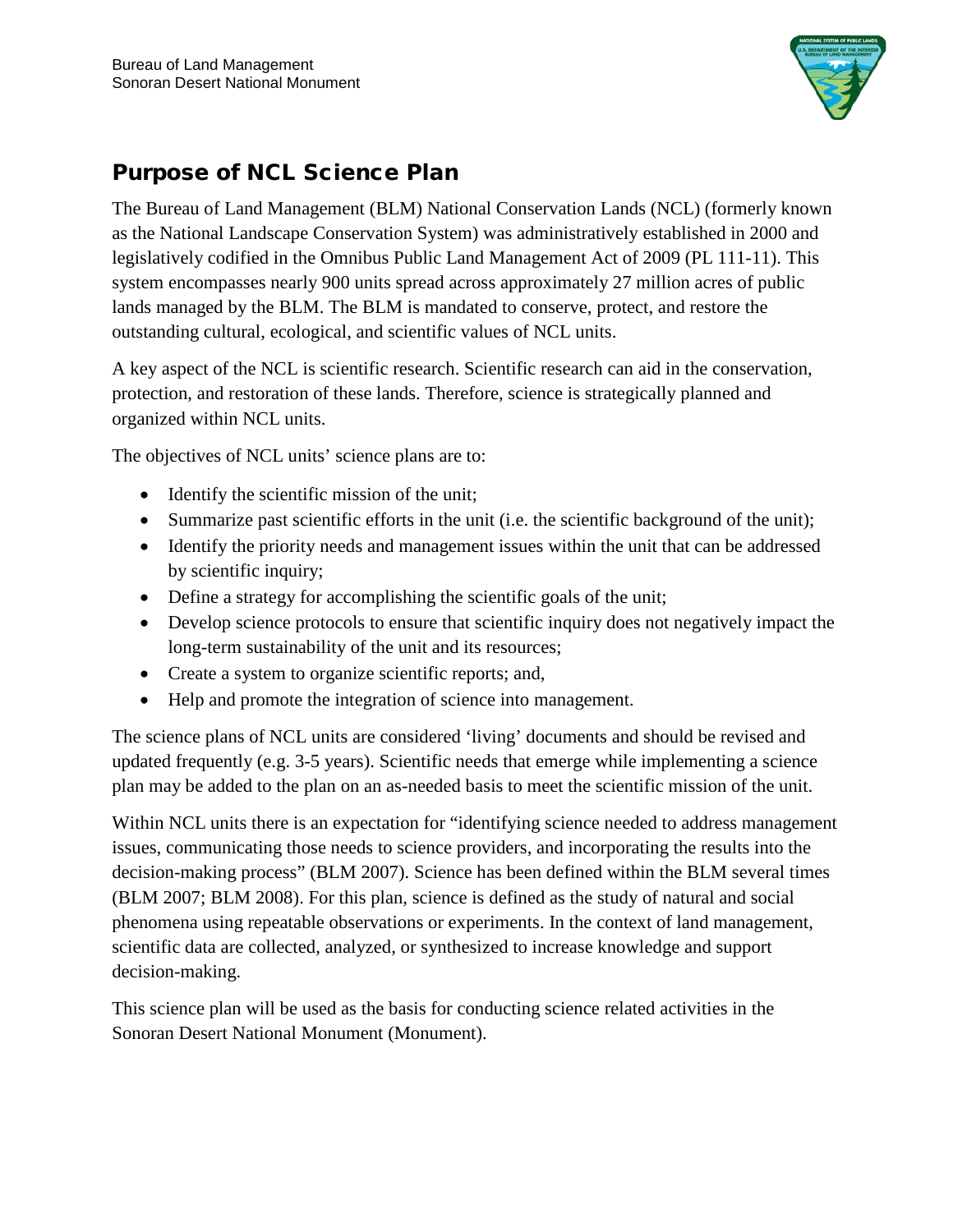

#### <span id="page-3-0"></span>Purpose of NCL Science Plan

The Bureau of Land Management (BLM) National Conservation Lands (NCL) (formerly known as the National Landscape Conservation System) was administratively established in 2000 and legislatively codified in the Omnibus Public Land Management Act of 2009 (PL 111-11). This system encompasses nearly 900 units spread across approximately 27 million acres of public lands managed by the BLM. The BLM is mandated to conserve, protect, and restore the outstanding cultural, ecological, and scientific values of NCL units.

A key aspect of the NCL is scientific research. Scientific research can aid in the conservation, protection, and restoration of these lands. Therefore, science is strategically planned and organized within NCL units.

The objectives of NCL units' science plans are to:

- Identify the scientific mission of the unit;
- Summarize past scientific efforts in the unit (i.e. the scientific background of the unit);
- Identify the priority needs and management issues within the unit that can be addressed by scientific inquiry;
- Define a strategy for accomplishing the scientific goals of the unit;
- Develop science protocols to ensure that scientific inquiry does not negatively impact the long-term sustainability of the unit and its resources;
- Create a system to organize scientific reports; and,
- Help and promote the integration of science into management.

The science plans of NCL units are considered 'living' documents and should be revised and updated frequently (e.g. 3-5 years). Scientific needs that emerge while implementing a science plan may be added to the plan on an as-needed basis to meet the scientific mission of the unit.

Within NCL units there is an expectation for "identifying science needed to address management issues, communicating those needs to science providers, and incorporating the results into the decision-making process" (BLM 2007). Science has been defined within the BLM several times (BLM 2007; BLM 2008). For this plan, science is defined as the study of natural and social phenomena using repeatable observations or experiments. In the context of land management, scientific data are collected, analyzed, or synthesized to increase knowledge and support decision-making.

This science plan will be used as the basis for conducting science related activities in the Sonoran Desert National Monument (Monument).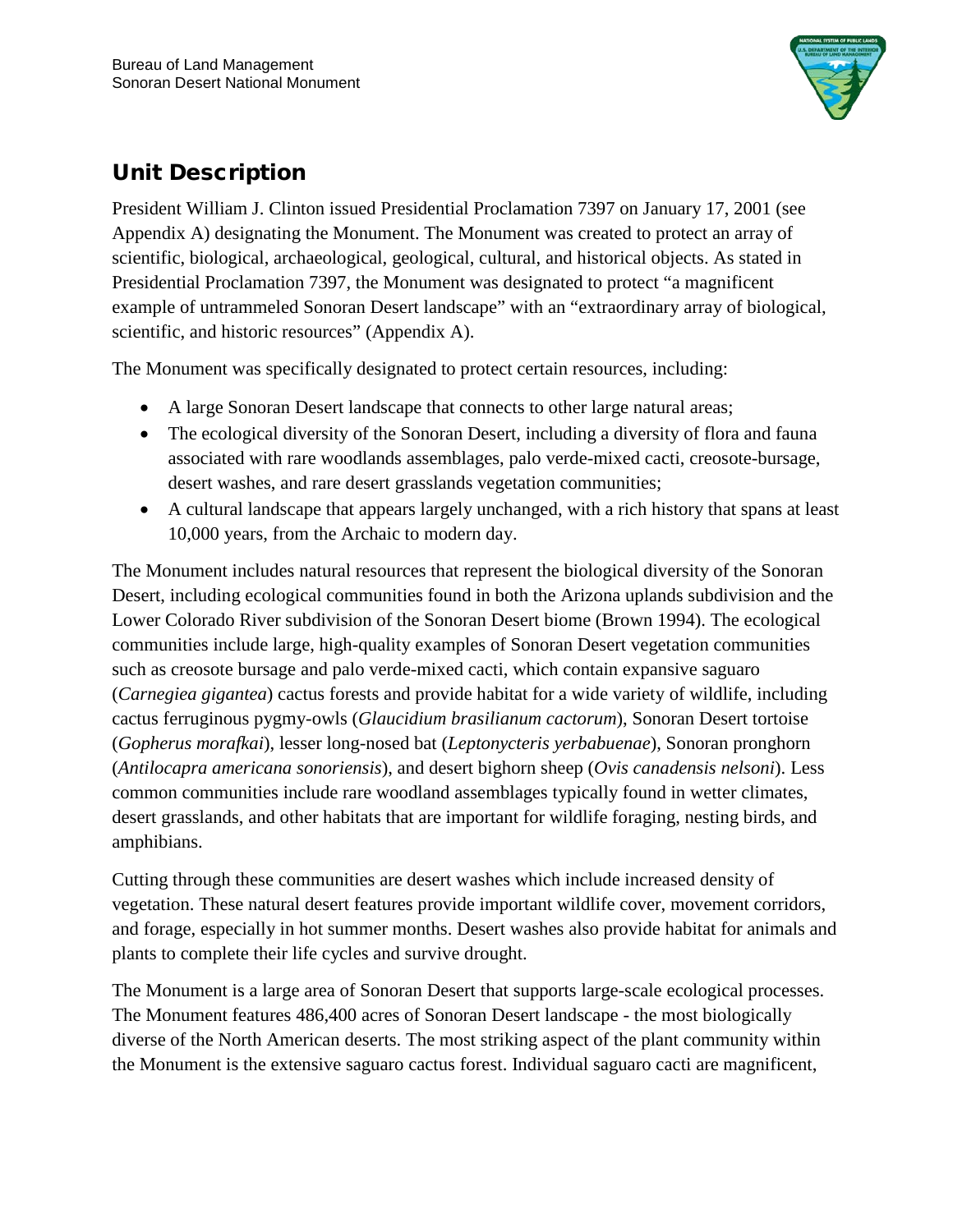

## <span id="page-4-0"></span>Unit Description

President William J. Clinton issued Presidential Proclamation 7397 on January 17, 2001 (see Appendix A) designating the Monument. The Monument was created to protect an array of scientific, biological, archaeological, geological, cultural, and historical objects. As stated in Presidential Proclamation 7397, the Monument was designated to protect "a magnificent example of untrammeled Sonoran Desert landscape" with an "extraordinary array of biological, scientific, and historic resources" (Appendix A).

The Monument was specifically designated to protect certain resources, including:

- A large Sonoran Desert landscape that connects to other large natural areas;
- The ecological diversity of the Sonoran Desert, including a diversity of flora and fauna associated with rare woodlands assemblages, palo verde-mixed cacti, creosote-bursage, desert washes, and rare desert grasslands vegetation communities;
- A cultural landscape that appears largely unchanged, with a rich history that spans at least 10,000 years, from the Archaic to modern day.

The Monument includes natural resources that represent the biological diversity of the Sonoran Desert, including ecological communities found in both the Arizona uplands subdivision and the Lower Colorado River subdivision of the Sonoran Desert biome (Brown 1994). The ecological communities include large, high-quality examples of Sonoran Desert vegetation communities such as creosote bursage and palo verde-mixed cacti, which contain expansive saguaro (*Carnegiea gigantea*) cactus forests and provide habitat for a wide variety of wildlife, including cactus ferruginous pygmy-owls (*Glaucidium brasilianum cactorum*), Sonoran Desert tortoise (*Gopherus morafkai*), lesser long-nosed bat (*Leptonycteris yerbabuenae*), Sonoran pronghorn (*Antilocapra americana sonoriensis*), and desert bighorn sheep (*Ovis canadensis nelsoni*). Less common communities include rare woodland assemblages typically found in wetter climates, desert grasslands, and other habitats that are important for wildlife foraging, nesting birds, and amphibians.

Cutting through these communities are desert washes which include increased density of vegetation. These natural desert features provide important wildlife cover, movement corridors, and forage, especially in hot summer months. Desert washes also provide habitat for animals and plants to complete their life cycles and survive drought.

The Monument is a large area of Sonoran Desert that supports large-scale ecological processes. The Monument features 486,400 acres of Sonoran Desert landscape - the most biologically diverse of the North American deserts. The most striking aspect of the plant community within the Monument is the extensive saguaro cactus forest. Individual saguaro cacti are magnificent,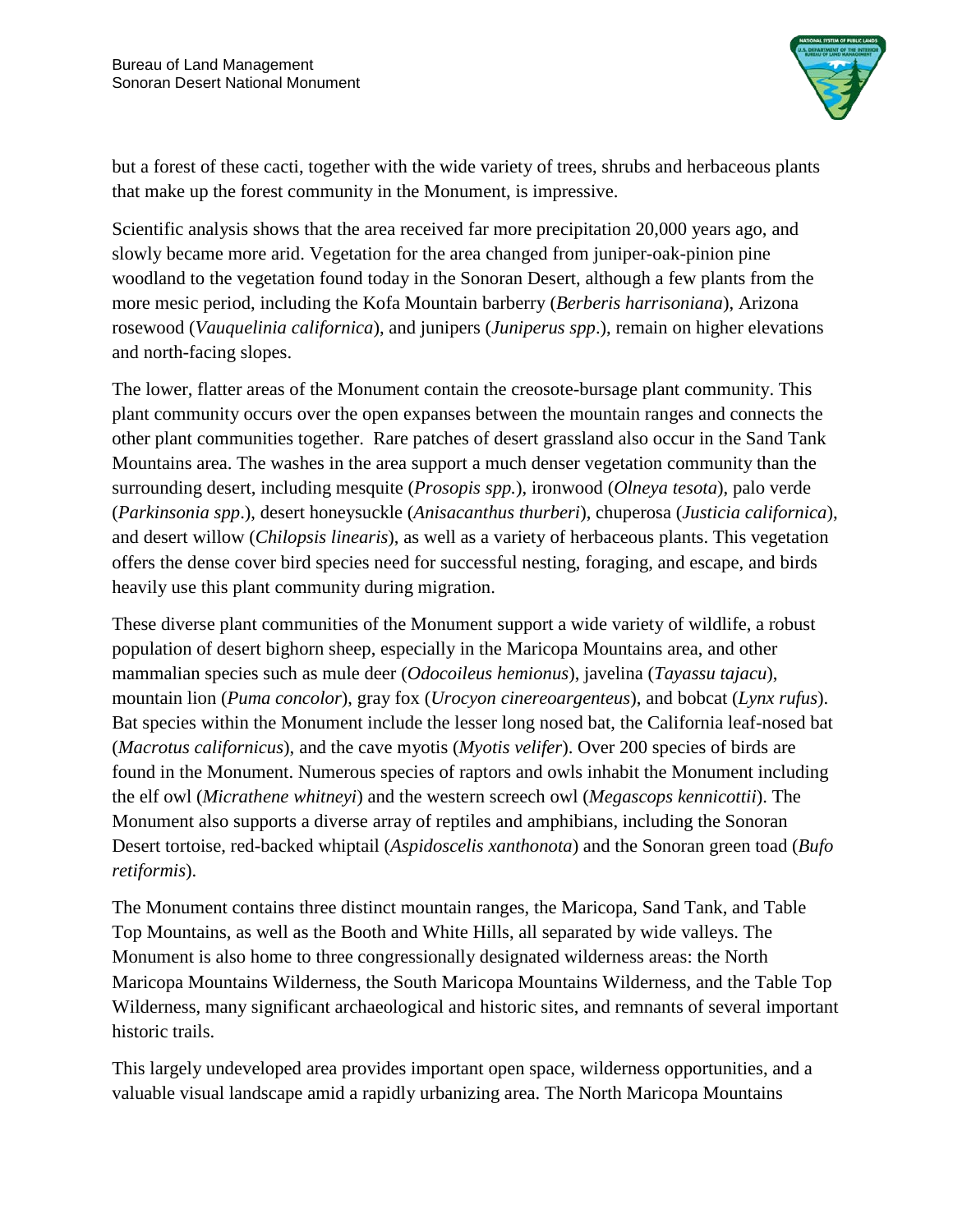

but a forest of these cacti, together with the wide variety of trees, shrubs and herbaceous plants that make up the forest community in the Monument, is impressive.

Scientific analysis shows that the area received far more precipitation 20,000 years ago, and slowly became more arid. Vegetation for the area changed from juniper-oak-pinion pine woodland to the vegetation found today in the Sonoran Desert, although a few plants from the more mesic period, including the Kofa Mountain barberry (*Berberis harrisoniana*), Arizona rosewood (*Vauquelinia californica*), and junipers (*Juniperus spp*.), remain on higher elevations and north-facing slopes.

The lower, flatter areas of the Monument contain the creosote-bursage plant community. This plant community occurs over the open expanses between the mountain ranges and connects the other plant communities together. Rare patches of desert grassland also occur in the Sand Tank Mountains area. The washes in the area support a much denser vegetation community than the surrounding desert, including mesquite (*Prosopis spp.*), ironwood (*Olneya tesota*), palo verde (*Parkinsonia spp*.), desert honeysuckle (*Anisacanthus thurberi*), chuperosa (*Justicia californica*), and desert willow (*Chilopsis linearis*), as well as a variety of herbaceous plants. This vegetation offers the dense cover bird species need for successful nesting, foraging, and escape, and birds heavily use this plant community during migration.

These diverse plant communities of the Monument support a wide variety of wildlife, a robust population of desert bighorn sheep, especially in the Maricopa Mountains area, and other mammalian species such as mule deer (*Odocoileus hemionus*), javelina (*Tayassu tajacu*), mountain lion (*Puma concolor*), gray fox (*Urocyon cinereoargenteus*), and bobcat (*Lynx rufus*). Bat species within the Monument include the lesser long nosed bat, the California leaf-nosed bat (*Macrotus californicus*), and the cave myotis (*Myotis velifer*). Over 200 species of birds are found in the Monument. Numerous species of raptors and owls inhabit the Monument including the elf owl (*Micrathene whitneyi*) and the western screech owl (*Megascops kennicottii*). The Monument also supports a diverse array of reptiles and amphibians, including the Sonoran Desert tortoise, red-backed whiptail (*Aspidoscelis xanthonota*) and the Sonoran green toad (*Bufo retiformis*).

The Monument contains three distinct mountain ranges, the Maricopa, Sand Tank, and Table Top Mountains, as well as the Booth and White Hills, all separated by wide valleys. The Monument is also home to three congressionally designated wilderness areas: the North Maricopa Mountains Wilderness, the South Maricopa Mountains Wilderness, and the Table Top Wilderness, many significant archaeological and historic sites, and remnants of several important historic trails.

This largely undeveloped area provides important open space, wilderness opportunities, and a valuable visual landscape amid a rapidly urbanizing area. The North Maricopa Mountains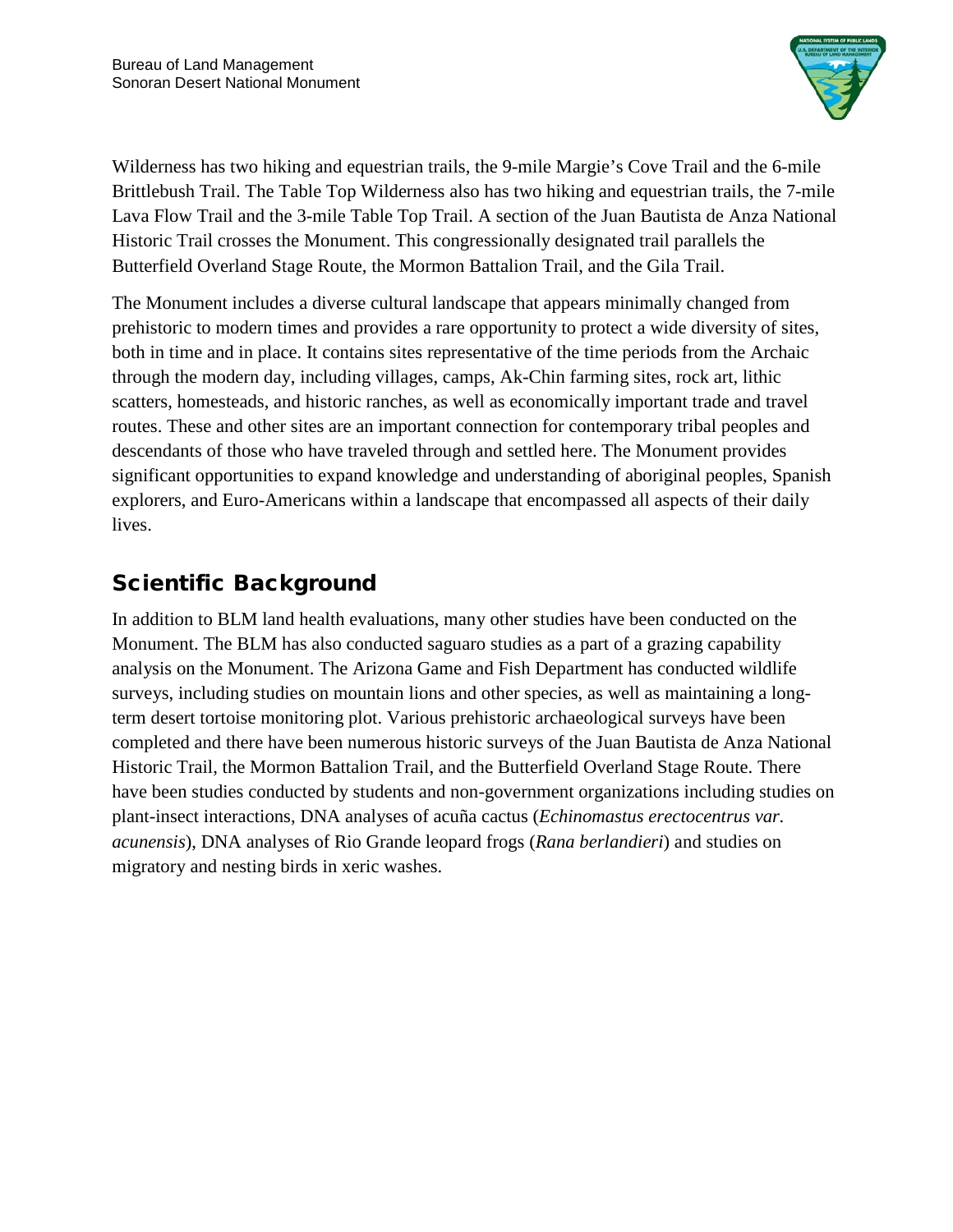

Wilderness has two hiking and equestrian trails, the 9-mile Margie's Cove Trail and the 6-mile Brittlebush Trail. The Table Top Wilderness also has two hiking and equestrian trails, the 7-mile Lava Flow Trail and the 3-mile Table Top Trail. A section of the Juan Bautista de Anza National Historic Trail crosses the Monument. This congressionally designated trail parallels the Butterfield Overland Stage Route, the Mormon Battalion Trail, and the Gila Trail.

The Monument includes a diverse cultural landscape that appears minimally changed from prehistoric to modern times and provides a rare opportunity to protect a wide diversity of sites, both in time and in place. It contains sites representative of the time periods from the Archaic through the modern day, including villages, camps, Ak-Chin farming sites, rock art, lithic scatters, homesteads, and historic ranches, as well as economically important trade and travel routes. These and other sites are an important connection for contemporary tribal peoples and descendants of those who have traveled through and settled here. The Monument provides significant opportunities to expand knowledge and understanding of aboriginal peoples, Spanish explorers, and Euro-Americans within a landscape that encompassed all aspects of their daily lives.

## <span id="page-6-0"></span>Scientific Background

In addition to BLM land health evaluations, many other studies have been conducted on the Monument. The BLM has also conducted saguaro studies as a part of a grazing capability analysis on the Monument. The Arizona Game and Fish Department has conducted wildlife surveys, including studies on mountain lions and other species, as well as maintaining a longterm desert tortoise monitoring plot. Various prehistoric archaeological surveys have been completed and there have been numerous historic surveys of the Juan Bautista de Anza National Historic Trail, the Mormon Battalion Trail, and the Butterfield Overland Stage Route. There have been studies conducted by students and non-government organizations including studies on plant-insect interactions, DNA analyses of acuña cactus (*Echinomastus erectocentrus var. acunensis*), DNA analyses of Rio Grande leopard frogs (*Rana berlandieri*) and studies on migratory and nesting birds in xeric washes.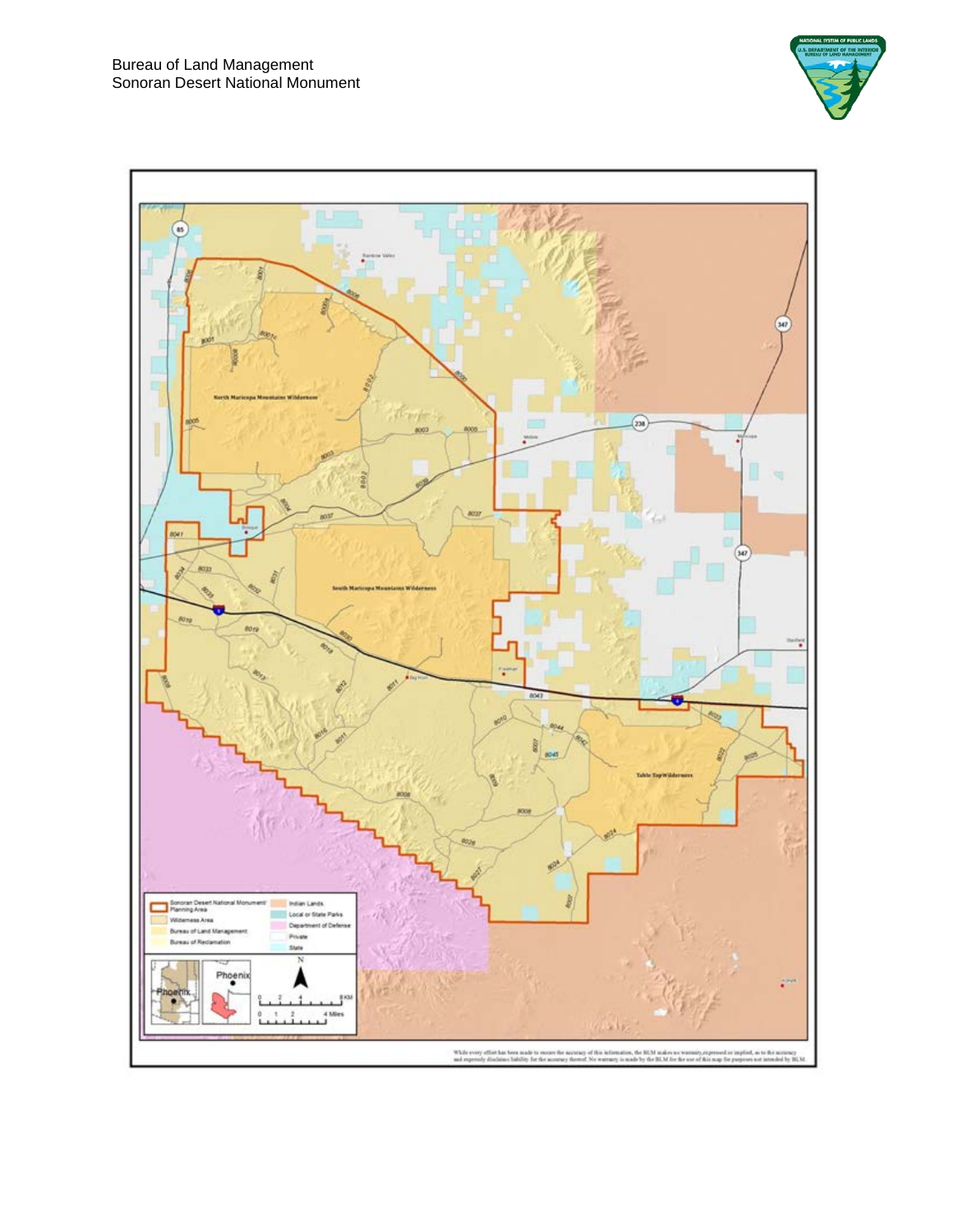

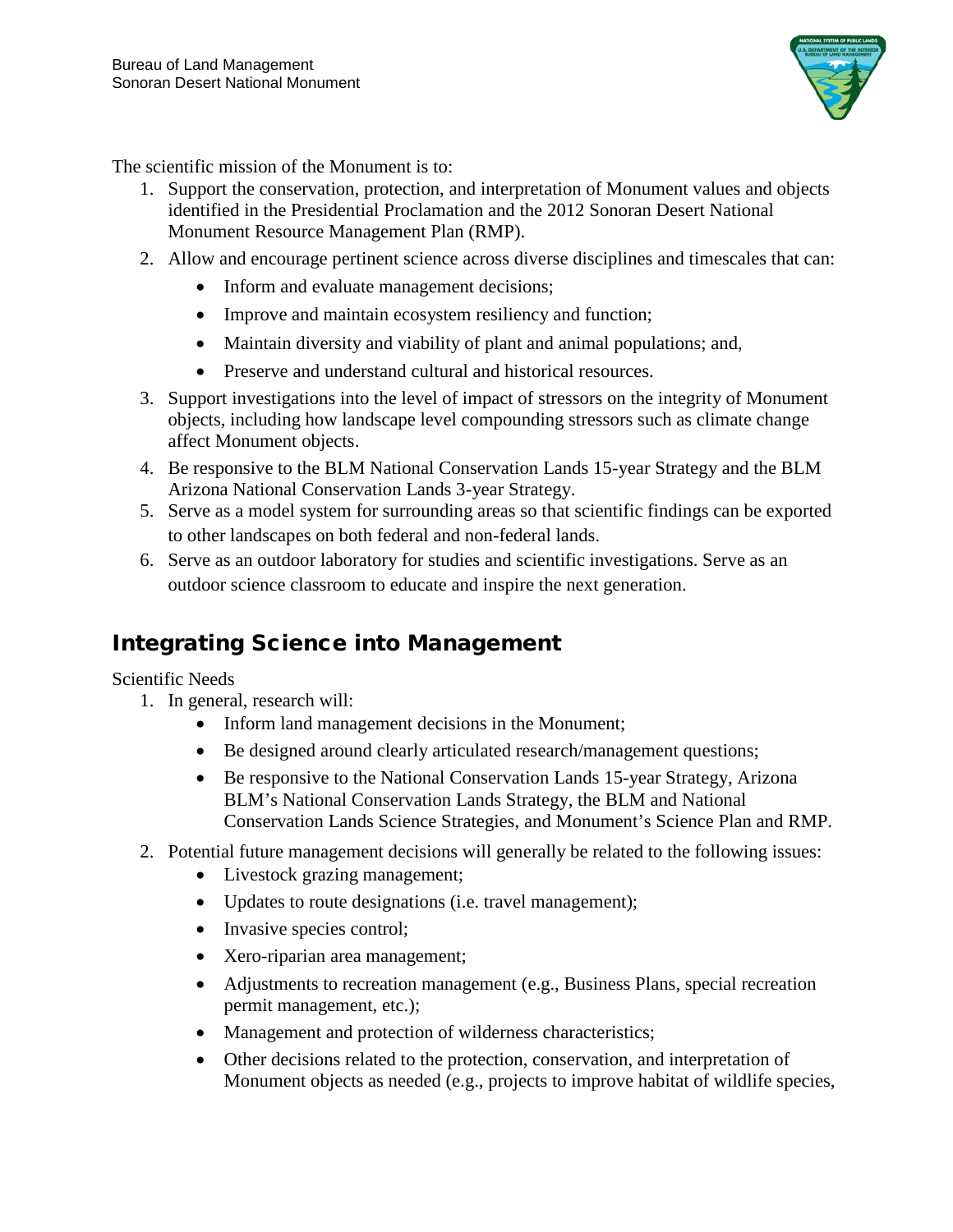

The scientific mission of the Monument is to:

- 1. Support the conservation, protection, and interpretation of Monument values and objects identified in the Presidential Proclamation and the 2012 Sonoran Desert National Monument Resource Management Plan (RMP).
- 2. Allow and encourage pertinent science across diverse disciplines and timescales that can:
	- Inform and evaluate management decisions;
	- Improve and maintain ecosystem resiliency and function;
	- Maintain diversity and viability of plant and animal populations; and,
	- Preserve and understand cultural and historical resources.
- 3. Support investigations into the level of impact of stressors on the integrity of Monument objects, including how landscape level compounding stressors such as climate change affect Monument objects.
- 4. Be responsive to the BLM National Conservation Lands 15-year Strategy and the BLM Arizona National Conservation Lands 3-year Strategy.
- 5. Serve as a model system for surrounding areas so that scientific findings can be exported to other landscapes on both federal and non-federal lands.
- 6. Serve as an outdoor laboratory for studies and scientific investigations. Serve as an outdoor science classroom to educate and inspire the next generation.

#### <span id="page-8-0"></span>Integrating Science into Management

Scientific Needs

- 1. In general, research will:
	- Inform land management decisions in the Monument;
	- Be designed around clearly articulated research/management questions;
	- Be responsive to the National Conservation Lands 15-year Strategy, Arizona BLM's National Conservation Lands Strategy, the BLM and National Conservation Lands Science Strategies, and Monument's Science Plan and RMP.
- 2. Potential future management decisions will generally be related to the following issues:
	- Livestock grazing management;
	- Updates to route designations (i.e. travel management);
	- Invasive species control;
	- Xero-riparian area management;
	- Adjustments to recreation management (e.g., Business Plans, special recreation permit management, etc.);
	- Management and protection of wilderness characteristics;
	- Other decisions related to the protection, conservation, and interpretation of Monument objects as needed (e.g., projects to improve habitat of wildlife species,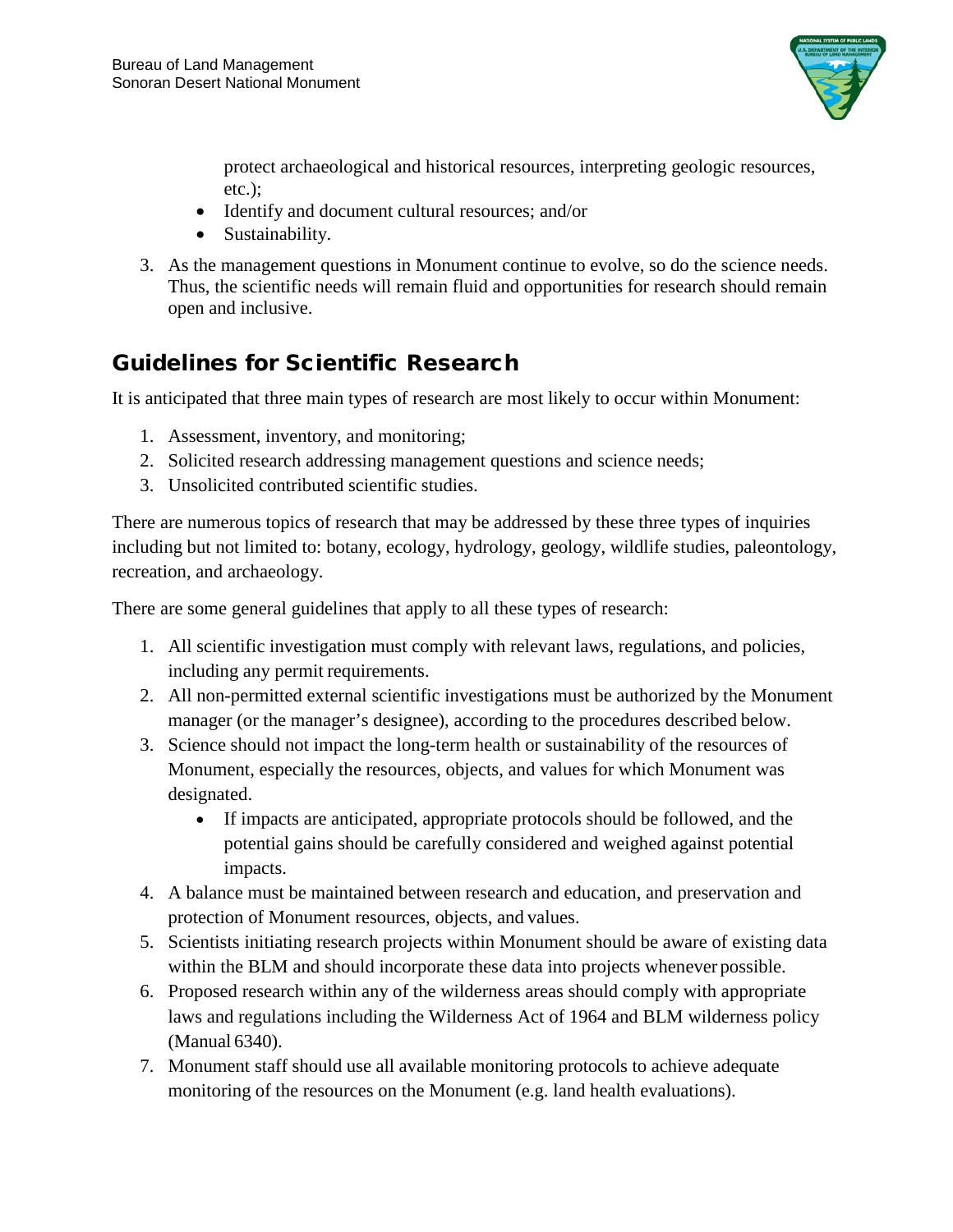

protect archaeological and historical resources, interpreting geologic resources, etc.);

- Identify and document cultural resources; and/or
- Sustainability.
- 3. As the management questions in Monument continue to evolve, so do the science needs. Thus, the scientific needs will remain fluid and opportunities for research should remain open and inclusive.

#### <span id="page-9-0"></span>Guidelines for Scientific Research

It is anticipated that three main types of research are most likely to occur within Monument:

- 1. Assessment, inventory, and monitoring;
- 2. Solicited research addressing management questions and science needs;
- 3. Unsolicited contributed scientific studies.

There are numerous topics of research that may be addressed by these three types of inquiries including but not limited to: botany, ecology, hydrology, geology, wildlife studies, paleontology, recreation, and archaeology.

There are some general guidelines that apply to all these types of research:

- 1. All scientific investigation must comply with relevant laws, regulations, and policies, including any permit requirements.
- 2. All non-permitted external scientific investigations must be authorized by the Monument manager (or the manager's designee), according to the procedures described below.
- 3. Science should not impact the long-term health or sustainability of the resources of Monument, especially the resources, objects, and values for which Monument was designated.
	- If impacts are anticipated, appropriate protocols should be followed, and the potential gains should be carefully considered and weighed against potential impacts.
- 4. A balance must be maintained between research and education, and preservation and protection of Monument resources, objects, and values.
- 5. Scientists initiating research projects within Monument should be aware of existing data within the BLM and should incorporate these data into projects whenever possible.
- 6. Proposed research within any of the wilderness areas should comply with appropriate laws and regulations including the Wilderness Act of 1964 and BLM wilderness policy (Manual 6340).
- 7. Monument staff should use all available monitoring protocols to achieve adequate monitoring of the resources on the Monument (e.g. land health evaluations).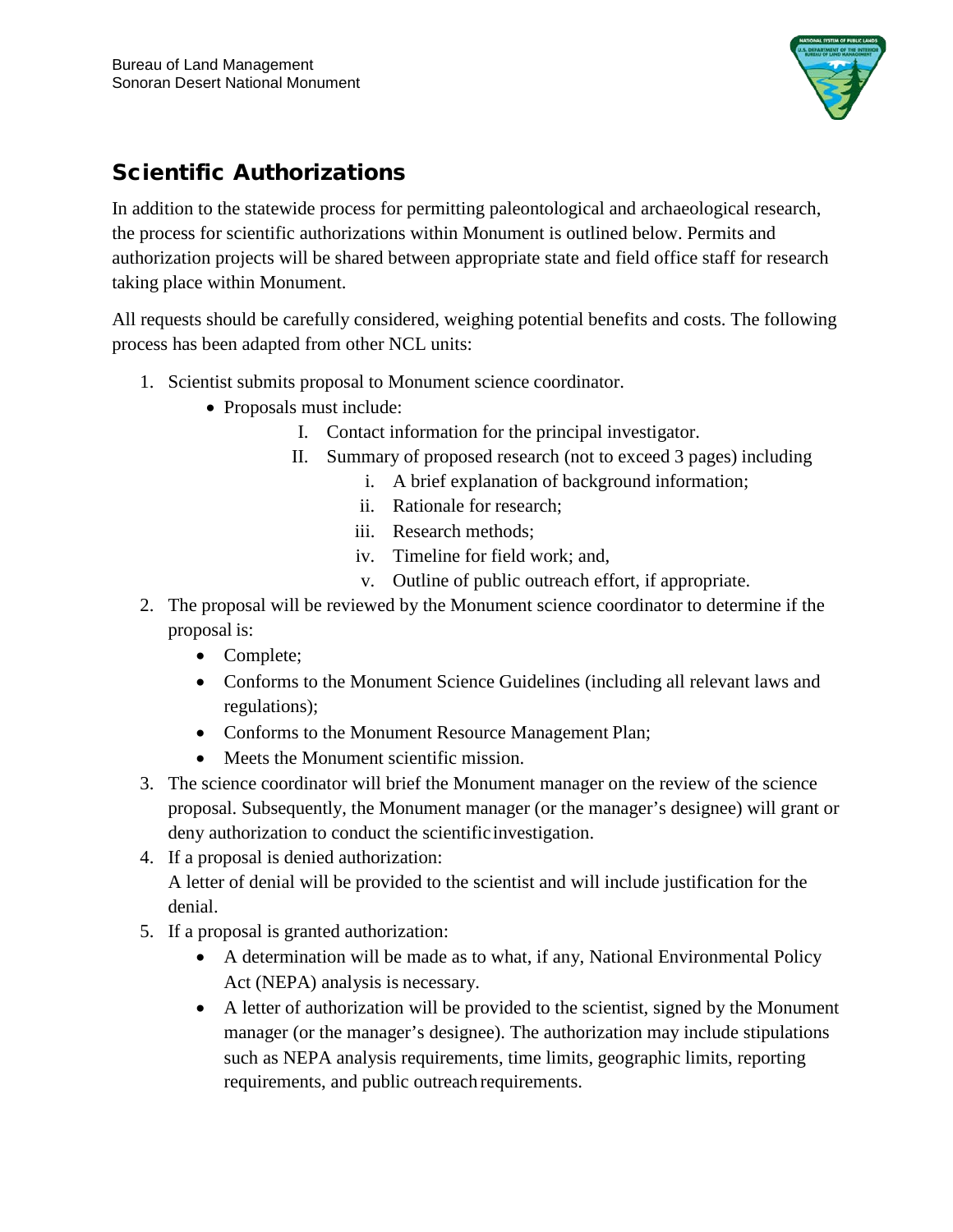

## <span id="page-10-0"></span>Scientific Authorizations

In addition to the statewide process for permitting paleontological and archaeological research, the process for scientific authorizations within Monument is outlined below. Permits and authorization projects will be shared between appropriate state and field office staff for research taking place within Monument.

All requests should be carefully considered, weighing potential benefits and costs. The following process has been adapted from other NCL units:

- 1. Scientist submits proposal to Monument science coordinator.
	- Proposals must include:
		- I. Contact information for the principal investigator.
		- II. Summary of proposed research (not to exceed 3 pages) including
			- i. A brief explanation of background information;
			- ii. Rationale for research;
			- iii. Research methods;
			- iv. Timeline for field work; and,
			- v. Outline of public outreach effort, if appropriate.
- 2. The proposal will be reviewed by the Monument science coordinator to determine if the proposal is:
	- Complete;
	- Conforms to the Monument Science Guidelines (including all relevant laws and regulations);
	- Conforms to the Monument Resource Management Plan;
	- Meets the Monument scientific mission.
- 3. The science coordinator will brief the Monument manager on the review of the science proposal. Subsequently, the Monument manager (or the manager's designee) will grant or deny authorization to conduct the scientific investigation.
- 4. If a proposal is denied authorization: A letter of denial will be provided to the scientist and will include justification for the denial.
- 5. If a proposal is granted authorization:
	- A determination will be made as to what, if any, National Environmental Policy Act (NEPA) analysis is necessary.
	- A letter of authorization will be provided to the scientist, signed by the Monument manager (or the manager's designee). The authorization may include stipulations such as NEPA analysis requirements, time limits, geographic limits, reporting requirements, and public outreach requirements.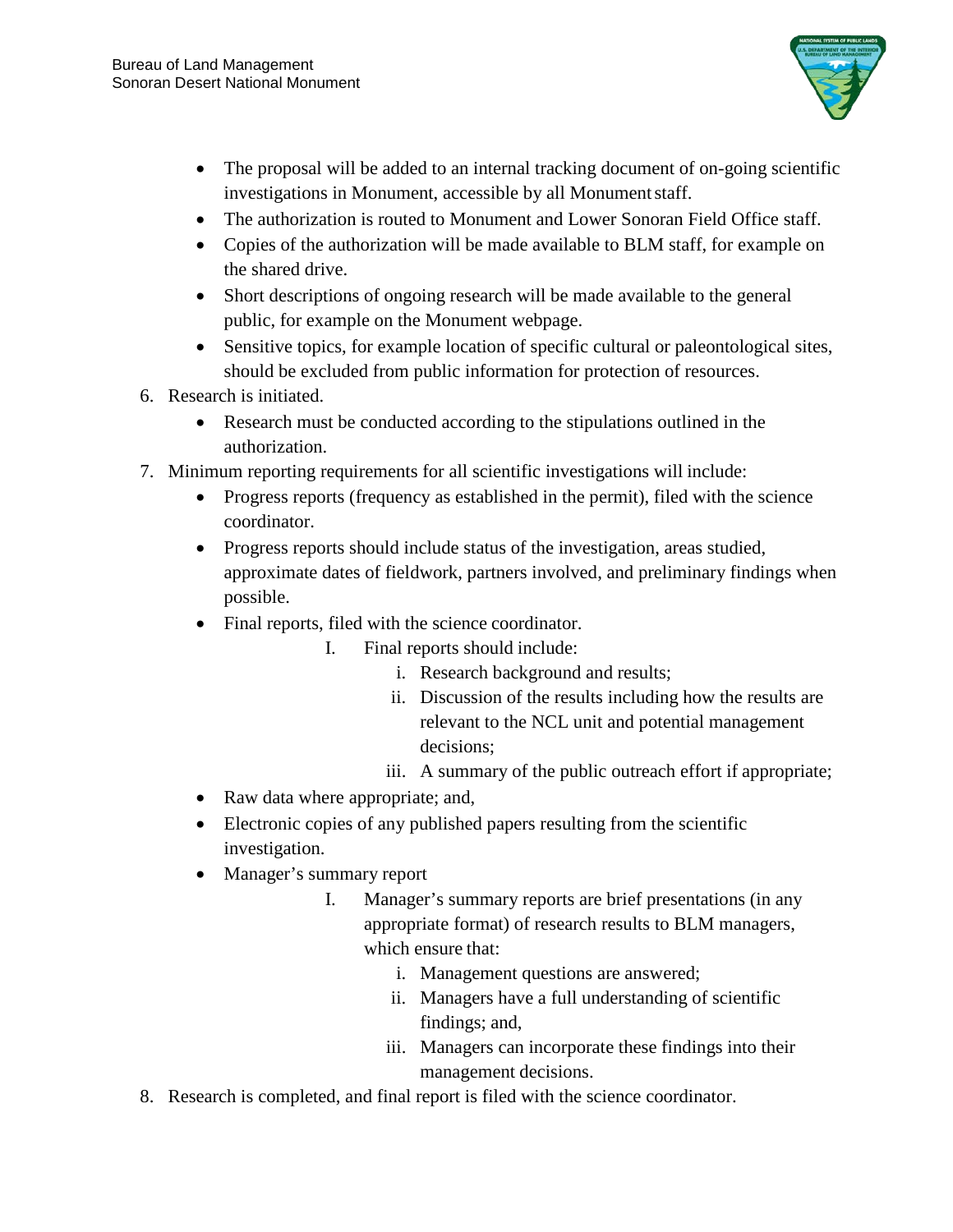

- The proposal will be added to an internal tracking document of on-going scientific investigations in Monument, accessible by all Monument staff.
- The authorization is routed to Monument and Lower Sonoran Field Office staff.
- Copies of the authorization will be made available to BLM staff, for example on the shared drive.
- Short descriptions of ongoing research will be made available to the general public, for example on the Monument webpage.
- Sensitive topics, for example location of specific cultural or paleontological sites, should be excluded from public information for protection of resources.
- 6. Research is initiated.
	- Research must be conducted according to the stipulations outlined in the authorization.
- 7. Minimum reporting requirements for all scientific investigations will include:
	- Progress reports (frequency as established in the permit), filed with the science coordinator.
	- Progress reports should include status of the investigation, areas studied, approximate dates of fieldwork, partners involved, and preliminary findings when possible.
	- Final reports, filed with the science coordinator.
		- I. Final reports should include:
			- i. Research background and results;
			- ii. Discussion of the results including how the results are relevant to the NCL unit and potential management decisions;
			- iii. A summary of the public outreach effort if appropriate;
	- Raw data where appropriate; and,
	- Electronic copies of any published papers resulting from the scientific investigation.
	- Manager's summary report
		- I. Manager's summary reports are brief presentations (in any appropriate format) of research results to BLM managers, which ensure that:
			- i. Management questions are answered;
			- ii. Managers have a full understanding of scientific findings; and,
			- iii. Managers can incorporate these findings into their management decisions.
- 8. Research is completed, and final report is filed with the science coordinator.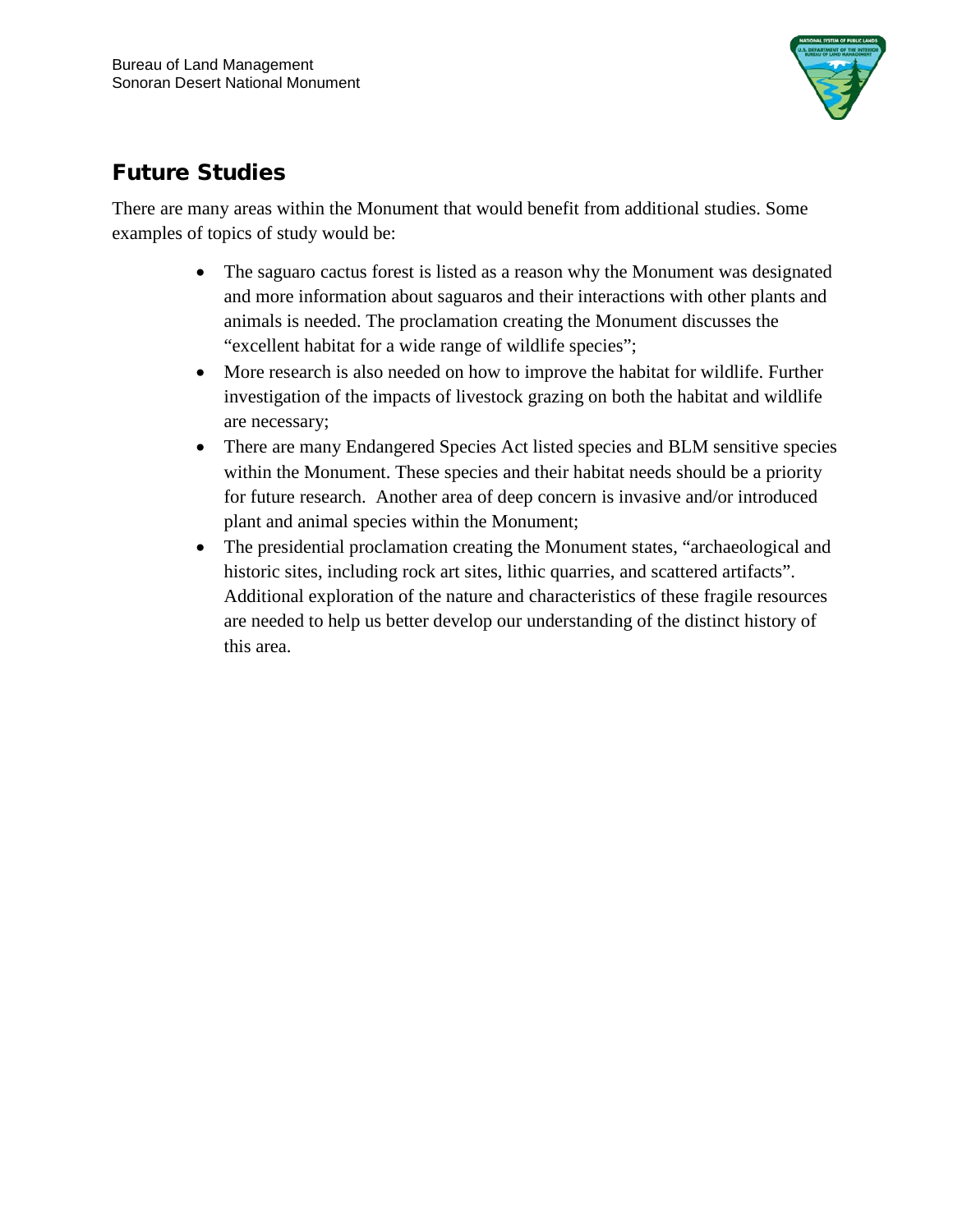

### <span id="page-12-0"></span>Future Studies

There are many areas within the Monument that would benefit from additional studies. Some examples of topics of study would be:

- The saguaro cactus forest is listed as a reason why the Monument was designated and more information about saguaros and their interactions with other plants and animals is needed. The proclamation creating the Monument discusses the "excellent habitat for a wide range of wildlife species";
- More research is also needed on how to improve the habitat for wildlife. Further investigation of the impacts of livestock grazing on both the habitat and wildlife are necessary;
- There are many Endangered Species Act listed species and BLM sensitive species within the Monument. These species and their habitat needs should be a priority for future research. Another area of deep concern is invasive and/or introduced plant and animal species within the Monument;
- The presidential proclamation creating the Monument states, "archaeological and historic sites, including rock art sites, lithic quarries, and scattered artifacts". Additional exploration of the nature and characteristics of these fragile resources are needed to help us better develop our understanding of the distinct history of this area.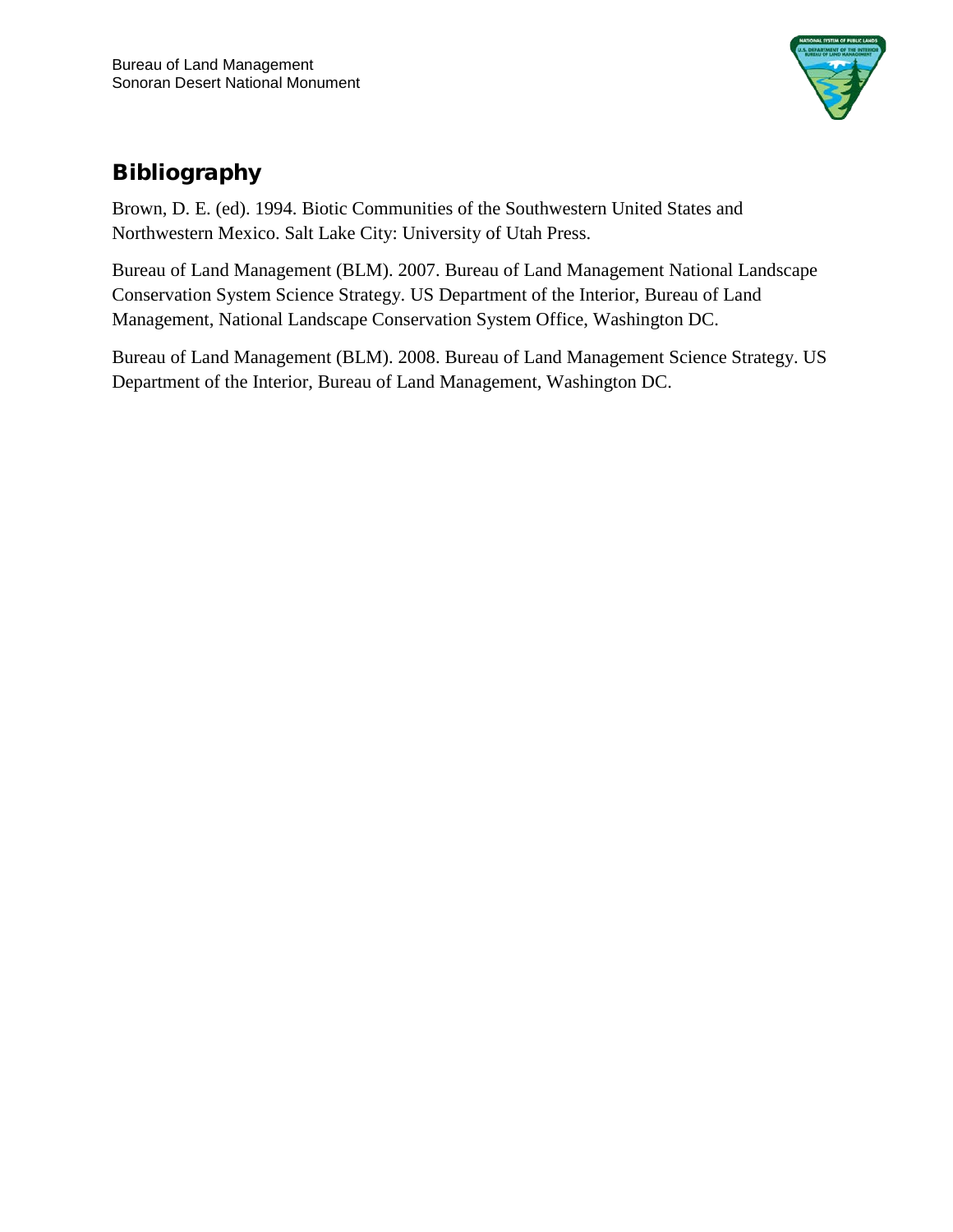

## <span id="page-13-0"></span>Bibliography

Brown, D. E. (ed). 1994. Biotic Communities of the Southwestern United States and Northwestern Mexico. Salt Lake City: University of Utah Press.

Bureau of Land Management (BLM). 2007. Bureau of Land Management National Landscape Conservation System Science Strategy. US Department of the Interior, Bureau of Land Management, National Landscape Conservation System Office, Washington DC.

Bureau of Land Management (BLM). 2008. Bureau of Land Management Science Strategy. US Department of the Interior, Bureau of Land Management, Washington DC.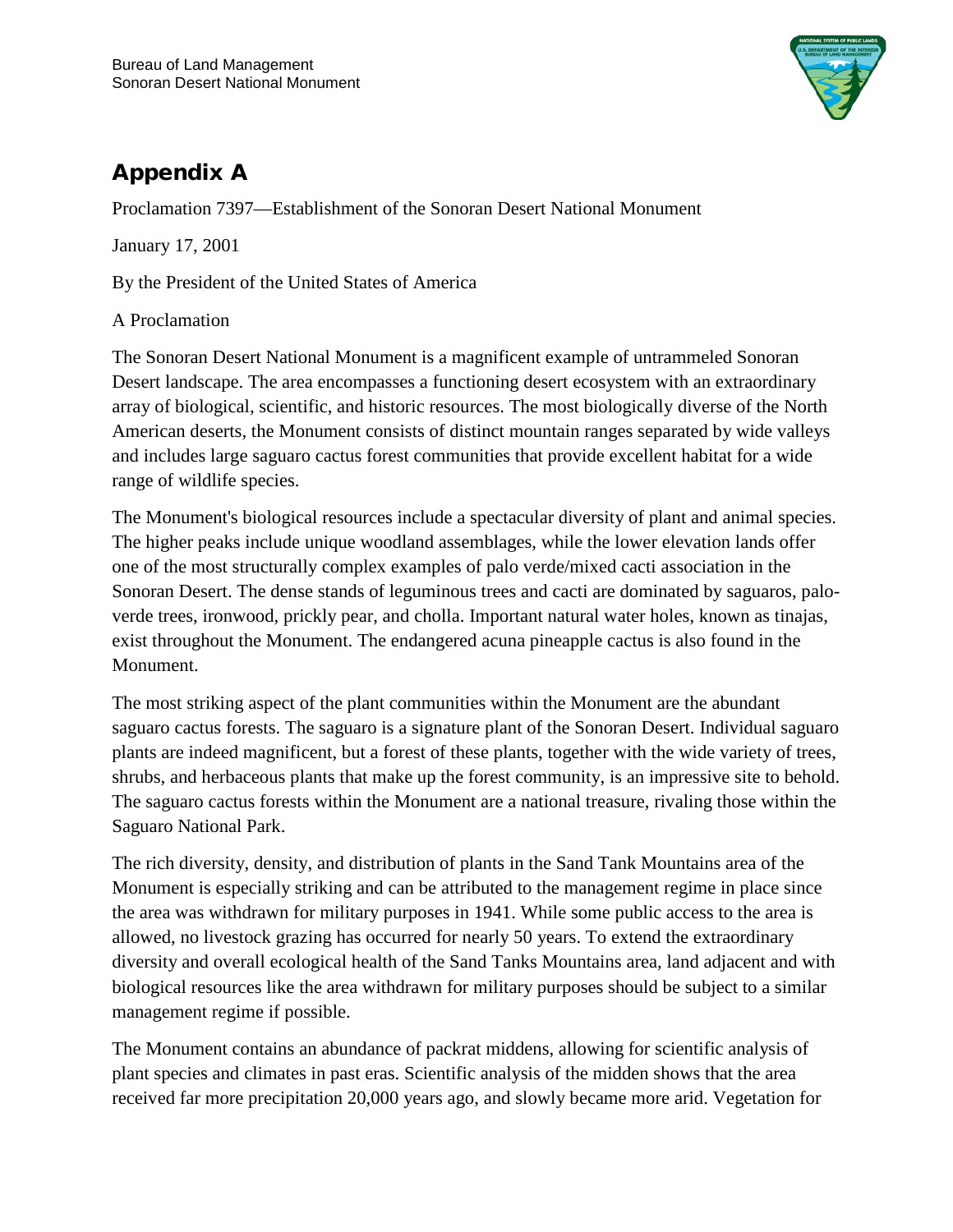

# <span id="page-14-0"></span>Appendix A

Proclamation 7397—Establishment of the Sonoran Desert National Monument

January 17, 2001

By the President of the United States of America

A Proclamation

The Sonoran Desert National Monument is a magnificent example of untrammeled Sonoran Desert landscape. The area encompasses a functioning desert ecosystem with an extraordinary array of biological, scientific, and historic resources. The most biologically diverse of the North American deserts, the Monument consists of distinct mountain ranges separated by wide valleys and includes large saguaro cactus forest communities that provide excellent habitat for a wide range of wildlife species.

The Monument's biological resources include a spectacular diversity of plant and animal species. The higher peaks include unique woodland assemblages, while the lower elevation lands offer one of the most structurally complex examples of palo verde/mixed cacti association in the Sonoran Desert. The dense stands of leguminous trees and cacti are dominated by saguaros, paloverde trees, ironwood, prickly pear, and cholla. Important natural water holes, known as tinajas, exist throughout the Monument. The endangered acuna pineapple cactus is also found in the Monument.

The most striking aspect of the plant communities within the Monument are the abundant saguaro cactus forests. The saguaro is a signature plant of the Sonoran Desert. Individual saguaro plants are indeed magnificent, but a forest of these plants, together with the wide variety of trees, shrubs, and herbaceous plants that make up the forest community, is an impressive site to behold. The saguaro cactus forests within the Monument are a national treasure, rivaling those within the Saguaro National Park.

The rich diversity, density, and distribution of plants in the Sand Tank Mountains area of the Monument is especially striking and can be attributed to the management regime in place since the area was withdrawn for military purposes in 1941. While some public access to the area is allowed, no livestock grazing has occurred for nearly 50 years. To extend the extraordinary diversity and overall ecological health of the Sand Tanks Mountains area, land adjacent and with biological resources like the area withdrawn for military purposes should be subject to a similar management regime if possible.

The Monument contains an abundance of packrat middens, allowing for scientific analysis of plant species and climates in past eras. Scientific analysis of the midden shows that the area received far more precipitation 20,000 years ago, and slowly became more arid. Vegetation for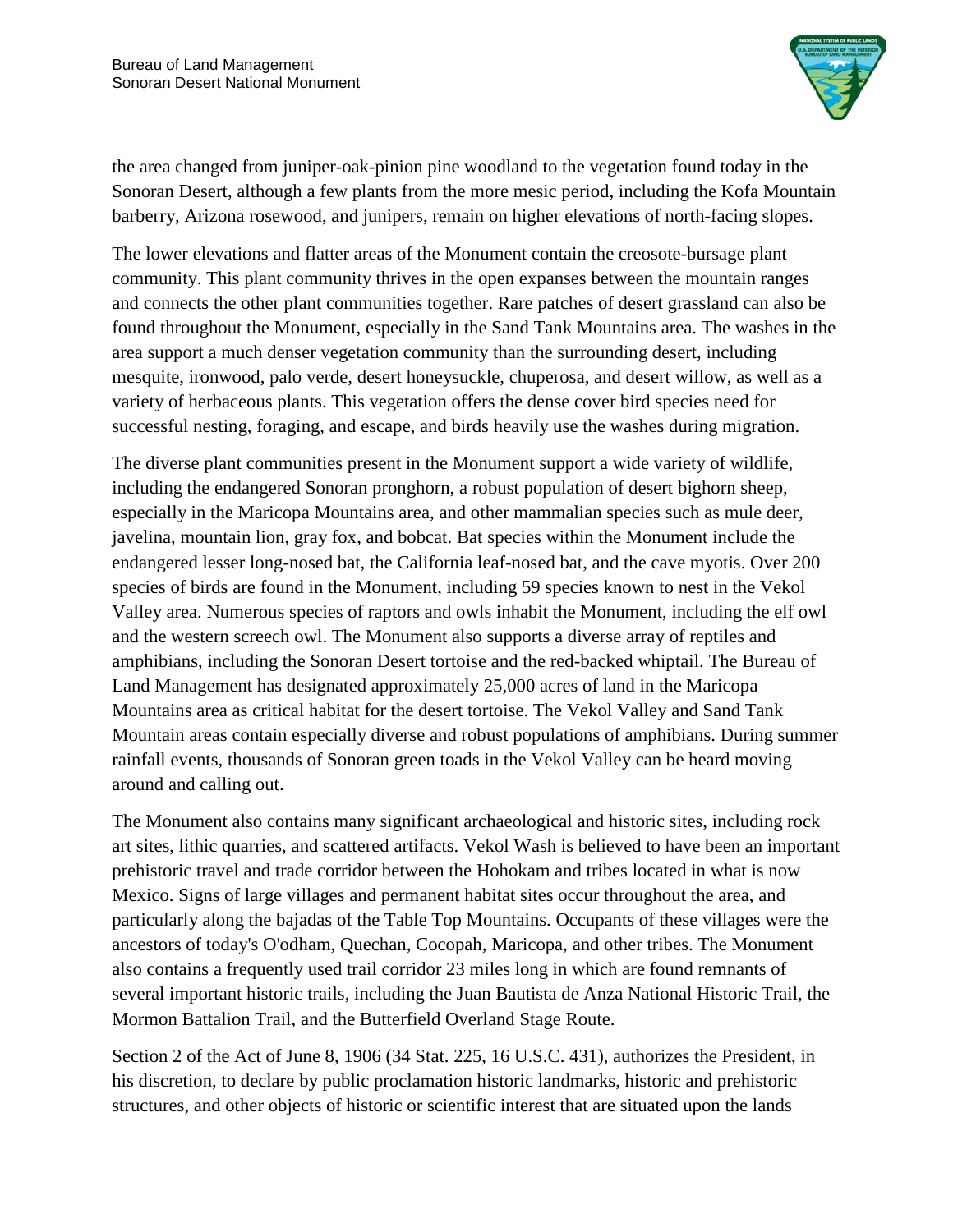

the area changed from juniper-oak-pinion pine woodland to the vegetation found today in the Sonoran Desert, although a few plants from the more mesic period, including the Kofa Mountain barberry, Arizona rosewood, and junipers, remain on higher elevations of north-facing slopes.

The lower elevations and flatter areas of the Monument contain the creosote-bursage plant community. This plant community thrives in the open expanses between the mountain ranges and connects the other plant communities together. Rare patches of desert grassland can also be found throughout the Monument, especially in the Sand Tank Mountains area. The washes in the area support a much denser vegetation community than the surrounding desert, including mesquite, ironwood, palo verde, desert honeysuckle, chuperosa, and desert willow, as well as a variety of herbaceous plants. This vegetation offers the dense cover bird species need for successful nesting, foraging, and escape, and birds heavily use the washes during migration.

The diverse plant communities present in the Monument support a wide variety of wildlife, including the endangered Sonoran pronghorn, a robust population of desert bighorn sheep, especially in the Maricopa Mountains area, and other mammalian species such as mule deer, javelina, mountain lion, gray fox, and bobcat. Bat species within the Monument include the endangered lesser long-nosed bat, the California leaf-nosed bat, and the cave myotis. Over 200 species of birds are found in the Monument, including 59 species known to nest in the Vekol Valley area. Numerous species of raptors and owls inhabit the Monument, including the elf owl and the western screech owl. The Monument also supports a diverse array of reptiles and amphibians, including the Sonoran Desert tortoise and the red-backed whiptail. The Bureau of Land Management has designated approximately 25,000 acres of land in the Maricopa Mountains area as critical habitat for the desert tortoise. The Vekol Valley and Sand Tank Mountain areas contain especially diverse and robust populations of amphibians. During summer rainfall events, thousands of Sonoran green toads in the Vekol Valley can be heard moving around and calling out.

The Monument also contains many significant archaeological and historic sites, including rock art sites, lithic quarries, and scattered artifacts. Vekol Wash is believed to have been an important prehistoric travel and trade corridor between the Hohokam and tribes located in what is now Mexico. Signs of large villages and permanent habitat sites occur throughout the area, and particularly along the bajadas of the Table Top Mountains. Occupants of these villages were the ancestors of today's O'odham, Quechan, Cocopah, Maricopa, and other tribes. The Monument also contains a frequently used trail corridor 23 miles long in which are found remnants of several important historic trails, including the Juan Bautista de Anza National Historic Trail, the Mormon Battalion Trail, and the Butterfield Overland Stage Route.

Section 2 of the Act of June 8, 1906 (34 Stat. 225, 16 U.S.C. 431), authorizes the President, in his discretion, to declare by public proclamation historic landmarks, historic and prehistoric structures, and other objects of historic or scientific interest that are situated upon the lands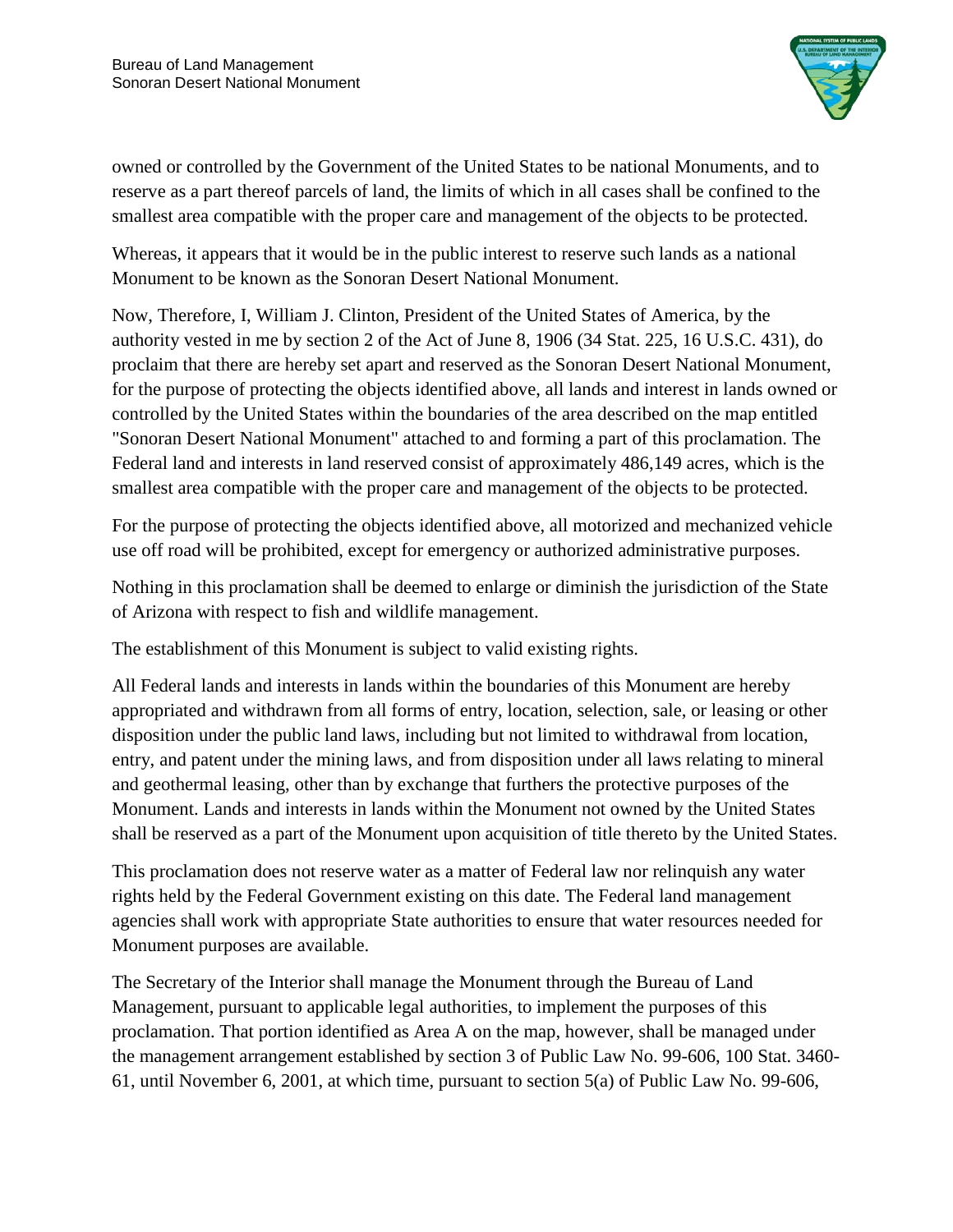

owned or controlled by the Government of the United States to be national Monuments, and to reserve as a part thereof parcels of land, the limits of which in all cases shall be confined to the smallest area compatible with the proper care and management of the objects to be protected.

Whereas, it appears that it would be in the public interest to reserve such lands as a national Monument to be known as the Sonoran Desert National Monument.

Now, Therefore, I, William J. Clinton, President of the United States of America, by the authority vested in me by section 2 of the Act of June 8, 1906 (34 Stat. 225, 16 U.S.C. 431), do proclaim that there are hereby set apart and reserved as the Sonoran Desert National Monument, for the purpose of protecting the objects identified above, all lands and interest in lands owned or controlled by the United States within the boundaries of the area described on the map entitled "Sonoran Desert National Monument" attached to and forming a part of this proclamation. The Federal land and interests in land reserved consist of approximately 486,149 acres, which is the smallest area compatible with the proper care and management of the objects to be protected.

For the purpose of protecting the objects identified above, all motorized and mechanized vehicle use off road will be prohibited, except for emergency or authorized administrative purposes.

Nothing in this proclamation shall be deemed to enlarge or diminish the jurisdiction of the State of Arizona with respect to fish and wildlife management.

The establishment of this Monument is subject to valid existing rights.

All Federal lands and interests in lands within the boundaries of this Monument are hereby appropriated and withdrawn from all forms of entry, location, selection, sale, or leasing or other disposition under the public land laws, including but not limited to withdrawal from location, entry, and patent under the mining laws, and from disposition under all laws relating to mineral and geothermal leasing, other than by exchange that furthers the protective purposes of the Monument. Lands and interests in lands within the Monument not owned by the United States shall be reserved as a part of the Monument upon acquisition of title thereto by the United States.

This proclamation does not reserve water as a matter of Federal law nor relinquish any water rights held by the Federal Government existing on this date. The Federal land management agencies shall work with appropriate State authorities to ensure that water resources needed for Monument purposes are available.

The Secretary of the Interior shall manage the Monument through the Bureau of Land Management, pursuant to applicable legal authorities, to implement the purposes of this proclamation. That portion identified as Area A on the map, however, shall be managed under the management arrangement established by section 3 of Public Law No. 99-606, 100 Stat. 3460- 61, until November 6, 2001, at which time, pursuant to section 5(a) of Public Law No. 99-606,